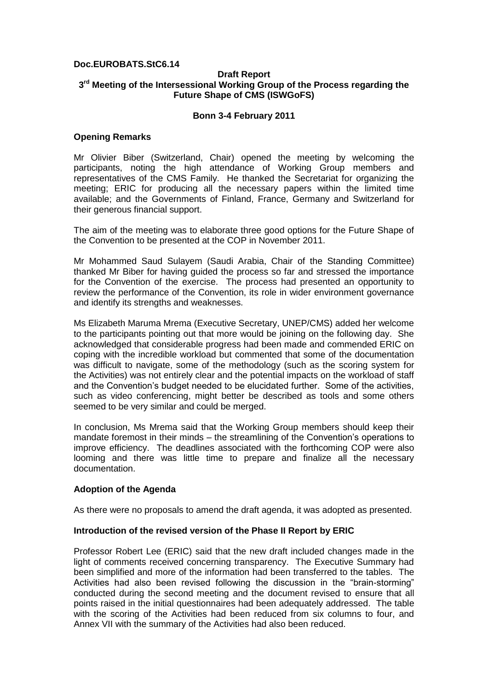# **Doc.EUROBATS.StC6.14**

## **Draft Report 3 rd Meeting of the Intersessional Working Group of the Process regarding the Future Shape of CMS (ISWGoFS)**

## **Bonn 3-4 February 2011**

## **Opening Remarks**

Mr Olivier Biber (Switzerland, Chair) opened the meeting by welcoming the participants, noting the high attendance of Working Group members and representatives of the CMS Family. He thanked the Secretariat for organizing the meeting; ERIC for producing all the necessary papers within the limited time available; and the Governments of Finland, France, Germany and Switzerland for their generous financial support.

The aim of the meeting was to elaborate three good options for the Future Shape of the Convention to be presented at the COP in November 2011.

Mr Mohammed Saud Sulayem (Saudi Arabia, Chair of the Standing Committee) thanked Mr Biber for having guided the process so far and stressed the importance for the Convention of the exercise. The process had presented an opportunity to review the performance of the Convention, its role in wider environment governance and identify its strengths and weaknesses.

Ms Elizabeth Maruma Mrema (Executive Secretary, UNEP/CMS) added her welcome to the participants pointing out that more would be joining on the following day. She acknowledged that considerable progress had been made and commended ERIC on coping with the incredible workload but commented that some of the documentation was difficult to navigate, some of the methodology (such as the scoring system for the Activities) was not entirely clear and the potential impacts on the workload of staff and the Convention's budget needed to be elucidated further. Some of the activities, such as video conferencing, might better be described as tools and some others seemed to be very similar and could be merged.

In conclusion, Ms Mrema said that the Working Group members should keep their mandate foremost in their minds – the streamlining of the Convention's operations to improve efficiency. The deadlines associated with the forthcoming COP were also looming and there was little time to prepare and finalize all the necessary documentation.

# **Adoption of the Agenda**

As there were no proposals to amend the draft agenda, it was adopted as presented.

## **Introduction of the revised version of the Phase II Report by ERIC**

Professor Robert Lee (ERIC) said that the new draft included changes made in the light of comments received concerning transparency. The Executive Summary had been simplified and more of the information had been transferred to the tables. The Activities had also been revised following the discussion in the "brain-storming" conducted during the second meeting and the document revised to ensure that all points raised in the initial questionnaires had been adequately addressed. The table with the scoring of the Activities had been reduced from six columns to four, and Annex VII with the summary of the Activities had also been reduced.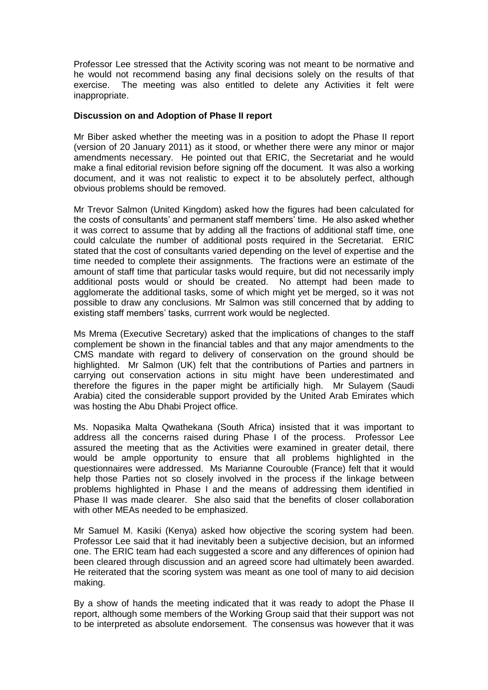Professor Lee stressed that the Activity scoring was not meant to be normative and he would not recommend basing any final decisions solely on the results of that exercise. The meeting was also entitled to delete any Activities it felt were inappropriate.

# **Discussion on and Adoption of Phase II report**

Mr Biber asked whether the meeting was in a position to adopt the Phase II report (version of 20 January 2011) as it stood, or whether there were any minor or major amendments necessary. He pointed out that ERIC, the Secretariat and he would make a final editorial revision before signing off the document. It was also a working document, and it was not realistic to expect it to be absolutely perfect, although obvious problems should be removed.

Mr Trevor Salmon (United Kingdom) asked how the figures had been calculated for the costs of consultants' and permanent staff members' time. He also asked whether it was correct to assume that by adding all the fractions of additional staff time, one could calculate the number of additional posts required in the Secretariat. ERIC stated that the cost of consultants varied depending on the level of expertise and the time needed to complete their assignments. The fractions were an estimate of the amount of staff time that particular tasks would require, but did not necessarily imply additional posts would or should be created. No attempt had been made to agglomerate the additional tasks, some of which might yet be merged, so it was not possible to draw any conclusions. Mr Salmon was still concerned that by adding to existing staff members' tasks, currrent work would be neglected.

Ms Mrema (Executive Secretary) asked that the implications of changes to the staff complement be shown in the financial tables and that any major amendments to the CMS mandate with regard to delivery of conservation on the ground should be highlighted. Mr Salmon (UK) felt that the contributions of Parties and partners in carrying out conservation actions in situ might have been underestimated and therefore the figures in the paper might be artificially high. Mr Sulayem (Saudi Arabia) cited the considerable support provided by the United Arab Emirates which was hosting the Abu Dhabi Project office.

Ms. Nopasika Malta Qwathekana (South Africa) insisted that it was important to address all the concerns raised during Phase I of the process. Professor Lee assured the meeting that as the Activities were examined in greater detail, there would be ample opportunity to ensure that all problems highlighted in the questionnaires were addressed. Ms Marianne Courouble (France) felt that it would help those Parties not so closely involved in the process if the linkage between problems highlighted in Phase I and the means of addressing them identified in Phase II was made clearer. She also said that the benefits of closer collaboration with other MEAs needed to be emphasized.

Mr Samuel M. Kasiki (Kenya) asked how objective the scoring system had been. Professor Lee said that it had inevitably been a subjective decision, but an informed one. The ERIC team had each suggested a score and any differences of opinion had been cleared through discussion and an agreed score had ultimately been awarded. He reiterated that the scoring system was meant as one tool of many to aid decision making.

By a show of hands the meeting indicated that it was ready to adopt the Phase II report, although some members of the Working Group said that their support was not to be interpreted as absolute endorsement. The consensus was however that it was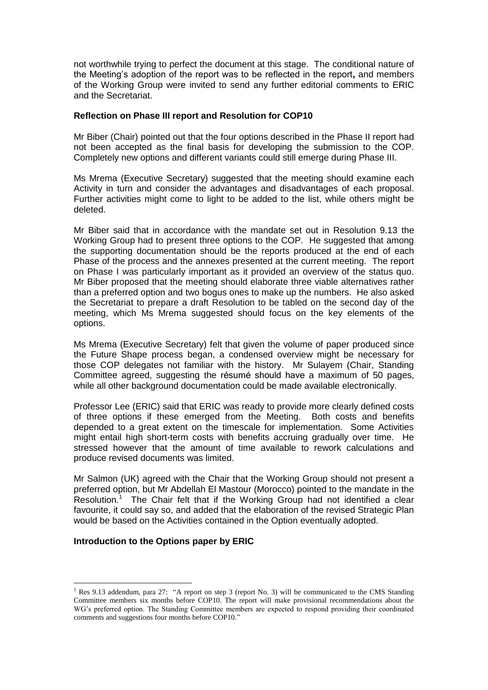not worthwhile trying to perfect the document at this stage. The conditional nature of the Meeting's adoption of the report was to be reflected in the report**,** and members of the Working Group were invited to send any further editorial comments to ERIC and the Secretariat.

## **Reflection on Phase III report and Resolution for COP10**

Mr Biber (Chair) pointed out that the four options described in the Phase II report had not been accepted as the final basis for developing the submission to the COP. Completely new options and different variants could still emerge during Phase III.

Ms Mrema (Executive Secretary) suggested that the meeting should examine each Activity in turn and consider the advantages and disadvantages of each proposal. Further activities might come to light to be added to the list, while others might be deleted.

Mr Biber said that in accordance with the mandate set out in Resolution 9.13 the Working Group had to present three options to the COP. He suggested that among the supporting documentation should be the reports produced at the end of each Phase of the process and the annexes presented at the current meeting. The report on Phase I was particularly important as it provided an overview of the status quo. Mr Biber proposed that the meeting should elaborate three viable alternatives rather than a preferred option and two bogus ones to make up the numbers. He also asked the Secretariat to prepare a draft Resolution to be tabled on the second day of the meeting, which Ms Mrema suggested should focus on the key elements of the options.

Ms Mrema (Executive Secretary) felt that given the volume of paper produced since the Future Shape process began, a condensed overview might be necessary for those COP delegates not familiar with the history. Mr Sulayem (Chair, Standing Committee agreed, suggesting the résumé should have a maximum of 50 pages, while all other background documentation could be made available electronically.

Professor Lee (ERIC) said that ERIC was ready to provide more clearly defined costs of three options if these emerged from the Meeting. Both costs and benefits depended to a great extent on the timescale for implementation. Some Activities might entail high short-term costs with benefits accruing gradually over time. He stressed however that the amount of time available to rework calculations and produce revised documents was limited.

Mr Salmon (UK) agreed with the Chair that the Working Group should not present a preferred option, but Mr Abdellah El Mastour (Morocco) pointed to the mandate in the Resolution.<sup>1</sup> The Chair felt that if the Working Group had not identified a clear favourite, it could say so, and added that the elaboration of the revised Strategic Plan would be based on the Activities contained in the Option eventually adopted.

# **Introduction to the Options paper by ERIC**

<u>.</u>

<sup>&</sup>lt;sup>1</sup> Res 9.13 addendum, para 27: "A report on step 3 (report No. 3) will be communicated to the CMS Standing Committee members six months before COP10. The report will make provisional recommendations about the WG's preferred option. The Standing Committee members are expected to respond providing their coordinated comments and suggestions four months before COP10."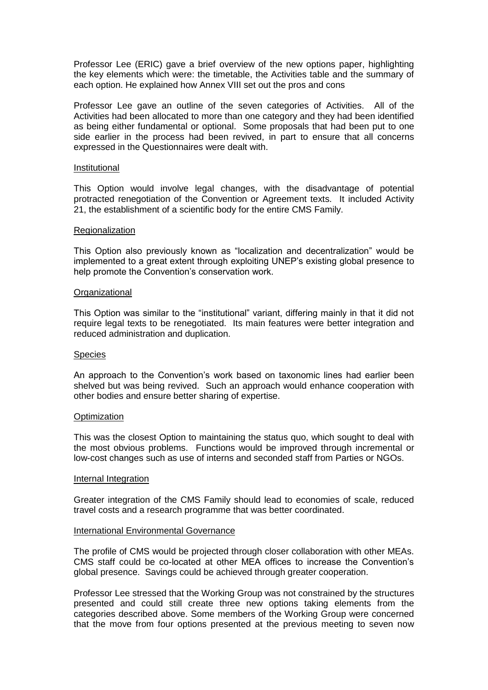Professor Lee (ERIC) gave a brief overview of the new options paper, highlighting the key elements which were: the timetable, the Activities table and the summary of each option. He explained how Annex VIII set out the pros and cons

Professor Lee gave an outline of the seven categories of Activities. All of the Activities had been allocated to more than one category and they had been identified as being either fundamental or optional. Some proposals that had been put to one side earlier in the process had been revived, in part to ensure that all concerns expressed in the Questionnaires were dealt with.

### Institutional

This Option would involve legal changes, with the disadvantage of potential protracted renegotiation of the Convention or Agreement texts. It included Activity 21, the establishment of a scientific body for the entire CMS Family.

#### Regionalization

This Option also previously known as "localization and decentralization" would be implemented to a great extent through exploiting UNEP's existing global presence to help promote the Convention's conservation work.

### **Organizational**

This Option was similar to the "institutional" variant, differing mainly in that it did not require legal texts to be renegotiated. Its main features were better integration and reduced administration and duplication.

#### **Species**

An approach to the Convention's work based on taxonomic lines had earlier been shelved but was being revived. Such an approach would enhance cooperation with other bodies and ensure better sharing of expertise.

#### **Optimization**

This was the closest Option to maintaining the status quo, which sought to deal with the most obvious problems. Functions would be improved through incremental or low-cost changes such as use of interns and seconded staff from Parties or NGOs.

#### Internal Integration

Greater integration of the CMS Family should lead to economies of scale, reduced travel costs and a research programme that was better coordinated.

#### International Environmental Governance

The profile of CMS would be projected through closer collaboration with other MEAs. CMS staff could be co-located at other MEA offices to increase the Convention's global presence. Savings could be achieved through greater cooperation.

Professor Lee stressed that the Working Group was not constrained by the structures presented and could still create three new options taking elements from the categories described above. Some members of the Working Group were concerned that the move from four options presented at the previous meeting to seven now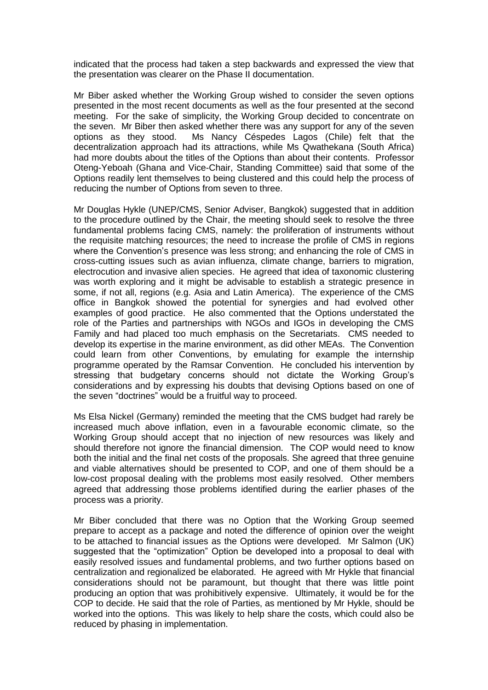indicated that the process had taken a step backwards and expressed the view that the presentation was clearer on the Phase II documentation.

Mr Biber asked whether the Working Group wished to consider the seven options presented in the most recent documents as well as the four presented at the second meeting. For the sake of simplicity, the Working Group decided to concentrate on the seven. Mr Biber then asked whether there was any support for any of the seven options as they stood. Ms Nancy Céspedes Lagos (Chile) felt that the decentralization approach had its attractions, while Ms Qwathekana (South Africa) had more doubts about the titles of the Options than about their contents. Professor Oteng-Yeboah (Ghana and Vice-Chair, Standing Committee) said that some of the Options readily lent themselves to being clustered and this could help the process of reducing the number of Options from seven to three.

Mr Douglas Hykle (UNEP/CMS, Senior Adviser, Bangkok) suggested that in addition to the procedure outlined by the Chair, the meeting should seek to resolve the three fundamental problems facing CMS, namely: the proliferation of instruments without the requisite matching resources; the need to increase the profile of CMS in regions where the Convention's presence was less strong; and enhancing the role of CMS in cross-cutting issues such as avian influenza, climate change, barriers to migration, electrocution and invasive alien species. He agreed that idea of taxonomic clustering was worth exploring and it might be advisable to establish a strategic presence in some, if not all, regions (e.g. Asia and Latin America). The experience of the CMS office in Bangkok showed the potential for synergies and had evolved other examples of good practice. He also commented that the Options understated the role of the Parties and partnerships with NGOs and IGOs in developing the CMS Family and had placed too much emphasis on the Secretariats. CMS needed to develop its expertise in the marine environment, as did other MEAs. The Convention could learn from other Conventions, by emulating for example the internship programme operated by the Ramsar Convention. He concluded his intervention by stressing that budgetary concerns should not dictate the Working Group's considerations and by expressing his doubts that devising Options based on one of the seven "doctrines" would be a fruitful way to proceed.

Ms Elsa Nickel (Germany) reminded the meeting that the CMS budget had rarely be increased much above inflation, even in a favourable economic climate, so the Working Group should accept that no injection of new resources was likely and should therefore not ignore the financial dimension. The COP would need to know both the initial and the final net costs of the proposals. She agreed that three genuine and viable alternatives should be presented to COP, and one of them should be a low-cost proposal dealing with the problems most easily resolved. Other members agreed that addressing those problems identified during the earlier phases of the process was a priority.

Mr Biber concluded that there was no Option that the Working Group seemed prepare to accept as a package and noted the difference of opinion over the weight to be attached to financial issues as the Options were developed. Mr Salmon (UK) suggested that the "optimization" Option be developed into a proposal to deal with easily resolved issues and fundamental problems, and two further options based on centralization and regionalized be elaborated. He agreed with Mr Hykle that financial considerations should not be paramount, but thought that there was little point producing an option that was prohibitively expensive. Ultimately, it would be for the COP to decide. He said that the role of Parties, as mentioned by Mr Hykle, should be worked into the options. This was likely to help share the costs, which could also be reduced by phasing in implementation.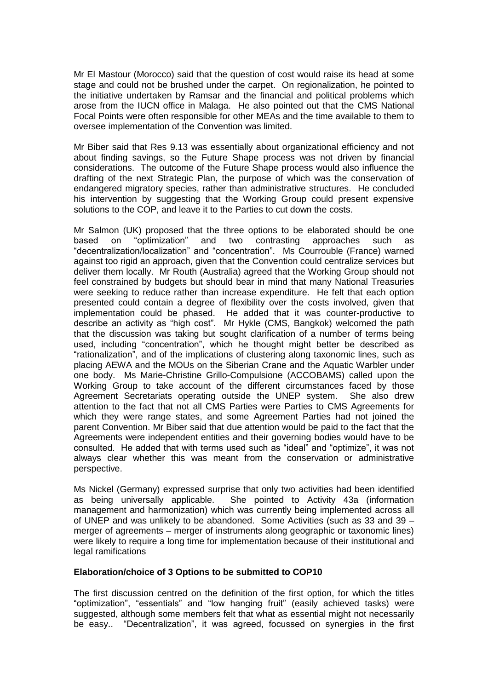Mr El Mastour (Morocco) said that the question of cost would raise its head at some stage and could not be brushed under the carpet. On regionalization, he pointed to the initiative undertaken by Ramsar and the financial and political problems which arose from the IUCN office in Malaga. He also pointed out that the CMS National Focal Points were often responsible for other MEAs and the time available to them to oversee implementation of the Convention was limited.

Mr Biber said that Res 9.13 was essentially about organizational efficiency and not about finding savings, so the Future Shape process was not driven by financial considerations. The outcome of the Future Shape process would also influence the drafting of the next Strategic Plan, the purpose of which was the conservation of endangered migratory species, rather than administrative structures. He concluded his intervention by suggesting that the Working Group could present expensive solutions to the COP, and leave it to the Parties to cut down the costs.

Mr Salmon (UK) proposed that the three options to be elaborated should be one based on "optimization" and two contrasting approaches such as "decentralization/localization" and "concentration". Ms Courrouble (France) warned against too rigid an approach, given that the Convention could centralize services but deliver them locally. Mr Routh (Australia) agreed that the Working Group should not feel constrained by budgets but should bear in mind that many National Treasuries were seeking to reduce rather than increase expenditure. He felt that each option presented could contain a degree of flexibility over the costs involved, given that implementation could be phased. He added that it was counter-productive to describe an activity as "high cost". Mr Hykle (CMS, Bangkok) welcomed the path that the discussion was taking but sought clarification of a number of terms being used, including "concentration", which he thought might better be described as "rationalization", and of the implications of clustering along taxonomic lines, such as placing AEWA and the MOUs on the Siberian Crane and the Aquatic Warbler under one body. Ms Marie-Christine Grillo-Compulsione (ACCOBAMS) called upon the Working Group to take account of the different circumstances faced by those Agreement Secretariats operating outside the UNEP system. She also drew attention to the fact that not all CMS Parties were Parties to CMS Agreements for which they were range states, and some Agreement Parties had not joined the parent Convention. Mr Biber said that due attention would be paid to the fact that the Agreements were independent entities and their governing bodies would have to be consulted. He added that with terms used such as "ideal" and "optimize", it was not always clear whether this was meant from the conservation or administrative perspective.

Ms Nickel (Germany) expressed surprise that only two activities had been identified as being universally applicable. She pointed to Activity 43a (information management and harmonization) which was currently being implemented across all of UNEP and was unlikely to be abandoned. Some Activities (such as 33 and 39 – merger of agreements – merger of instruments along geographic or taxonomic lines) were likely to require a long time for implementation because of their institutional and legal ramifications

# **Elaboration/choice of 3 Options to be submitted to COP10**

The first discussion centred on the definition of the first option, for which the titles "optimization", "essentials" and "low hanging fruit" (easily achieved tasks) were suggested, although some members felt that what as essential might not necessarily be easy.. "Decentralization", it was agreed, focussed on synergies in the first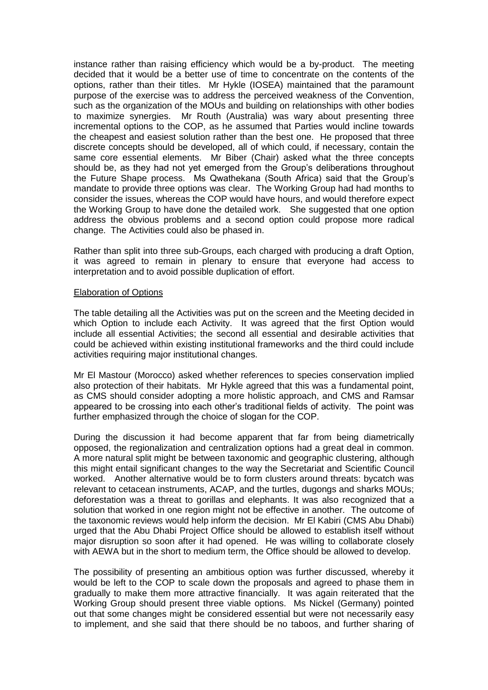instance rather than raising efficiency which would be a by-product. The meeting decided that it would be a better use of time to concentrate on the contents of the options, rather than their titles. Mr Hykle (IOSEA) maintained that the paramount purpose of the exercise was to address the perceived weakness of the Convention, such as the organization of the MOUs and building on relationships with other bodies to maximize synergies. Mr Routh (Australia) was wary about presenting three incremental options to the COP, as he assumed that Parties would incline towards the cheapest and easiest solution rather than the best one. He proposed that three discrete concepts should be developed, all of which could, if necessary, contain the same core essential elements. Mr Biber (Chair) asked what the three concepts should be, as they had not yet emerged from the Group's deliberations throughout the Future Shape process. Ms Qwathekana (South Africa) said that the Group's mandate to provide three options was clear. The Working Group had had months to consider the issues, whereas the COP would have hours, and would therefore expect the Working Group to have done the detailed work. She suggested that one option address the obvious problems and a second option could propose more radical change. The Activities could also be phased in.

Rather than split into three sub-Groups, each charged with producing a draft Option, it was agreed to remain in plenary to ensure that everyone had access to interpretation and to avoid possible duplication of effort.

### Elaboration of Options

The table detailing all the Activities was put on the screen and the Meeting decided in which Option to include each Activity. It was agreed that the first Option would include all essential Activities; the second all essential and desirable activities that could be achieved within existing institutional frameworks and the third could include activities requiring major institutional changes.

Mr El Mastour (Morocco) asked whether references to species conservation implied also protection of their habitats. Mr Hykle agreed that this was a fundamental point, as CMS should consider adopting a more holistic approach, and CMS and Ramsar appeared to be crossing into each other's traditional fields of activity. The point was further emphasized through the choice of slogan for the COP.

During the discussion it had become apparent that far from being diametrically opposed, the regionalization and centralization options had a great deal in common. A more natural split might be between taxonomic and geographic clustering, although this might entail significant changes to the way the Secretariat and Scientific Council worked. Another alternative would be to form clusters around threats: bycatch was relevant to cetacean instruments, ACAP, and the turtles, dugongs and sharks MOUs; deforestation was a threat to gorillas and elephants. It was also recognized that a solution that worked in one region might not be effective in another. The outcome of the taxonomic reviews would help inform the decision. Mr El Kabiri (CMS Abu Dhabi) urged that the Abu Dhabi Project Office should be allowed to establish itself without major disruption so soon after it had opened. He was willing to collaborate closely with AEWA but in the short to medium term, the Office should be allowed to develop.

The possibility of presenting an ambitious option was further discussed, whereby it would be left to the COP to scale down the proposals and agreed to phase them in gradually to make them more attractive financially. It was again reiterated that the Working Group should present three viable options. Ms Nickel (Germany) pointed out that some changes might be considered essential but were not necessarily easy to implement, and she said that there should be no taboos, and further sharing of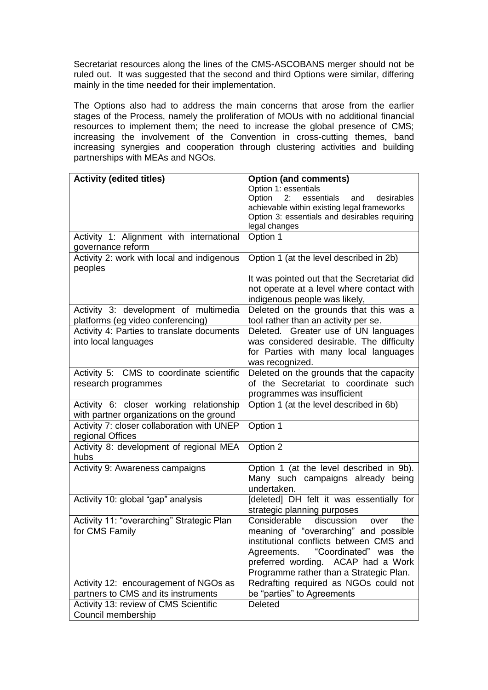Secretariat resources along the lines of the CMS-ASCOBANS merger should not be ruled out. It was suggested that the second and third Options were similar, differing mainly in the time needed for their implementation.

The Options also had to address the main concerns that arose from the earlier stages of the Process, namely the proliferation of MOUs with no additional financial resources to implement them; the need to increase the global presence of CMS; increasing the involvement of the Convention in cross-cutting themes, band increasing synergies and cooperation through clustering activities and building partnerships with MEAs and NGOs.

| <b>Activity (edited titles)</b>            | <b>Option (and comments)</b>                    |
|--------------------------------------------|-------------------------------------------------|
|                                            | Option 1: essentials                            |
|                                            | 2:<br>Option<br>essentials<br>and<br>desirables |
|                                            | achievable within existing legal frameworks     |
|                                            | Option 3: essentials and desirables requiring   |
|                                            | legal changes                                   |
| Activity 1: Alignment with international   | Option 1                                        |
| governance reform                          |                                                 |
| Activity 2: work with local and indigenous | Option 1 (at the level described in 2b)         |
| peoples                                    |                                                 |
|                                            | It was pointed out that the Secretariat did     |
|                                            | not operate at a level where contact with       |
|                                            |                                                 |
|                                            | indigenous people was likely,                   |
| Activity 3: development of multimedia      | Deleted on the grounds that this was a          |
| platforms (eg video conferencing)          | tool rather than an activity per se.            |
| Activity 4: Parties to translate documents | Deleted. Greater use of UN languages            |
| into local languages                       | was considered desirable. The difficulty        |
|                                            | for Parties with many local languages           |
|                                            | was recognized.                                 |
| Activity 5: CMS to coordinate scientific   | Deleted on the grounds that the capacity        |
| research programmes                        | of the Secretariat to coordinate such           |
|                                            | programmes was insufficient                     |
| Activity 6: closer working relationship    | Option 1 (at the level described in 6b)         |
|                                            |                                                 |
| with partner organizations on the ground   |                                                 |
| Activity 7: closer collaboration with UNEP | Option 1                                        |
| regional Offices                           |                                                 |
| Activity 8: development of regional MEA    | Option 2                                        |
| hubs                                       |                                                 |
| Activity 9: Awareness campaigns            | Option 1 (at the level described in 9b).        |
|                                            | Many such campaigns already being               |
|                                            | undertaken.                                     |
| Activity 10: global "gap" analysis         | [deleted] DH felt it was essentially for        |
|                                            | strategic planning purposes                     |
| Activity 11: "overarching" Strategic Plan  | Considerable<br>discussion<br>the<br>over       |
| for CMS Family                             | meaning of "overarching" and possible           |
|                                            | institutional conflicts between CMS and         |
|                                            | "Coordinated" was the<br>Agreements.            |
|                                            |                                                 |
|                                            | preferred wording. ACAP had a Work              |
|                                            | Programme rather than a Strategic Plan.         |
| Activity 12: encouragement of NGOs as      | Redrafting required as NGOs could not           |
| partners to CMS and its instruments        | be "parties" to Agreements                      |
| Activity 13: review of CMS Scientific      | Deleted                                         |
| Council membership                         |                                                 |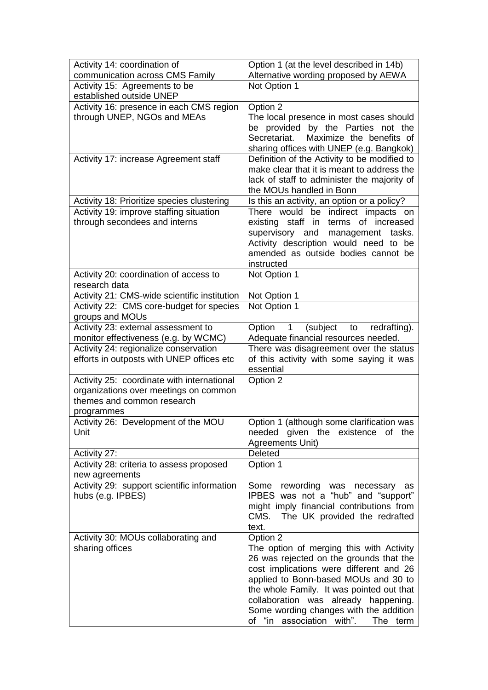| Activity 14: coordination of                                                       | Option 1 (at the level described in 14b)                                                 |
|------------------------------------------------------------------------------------|------------------------------------------------------------------------------------------|
| communication across CMS Family                                                    | Alternative wording proposed by AEWA                                                     |
| Activity 15: Agreements to be                                                      | Not Option 1                                                                             |
| established outside UNEP                                                           |                                                                                          |
| Activity 16: presence in each CMS region                                           | Option 2                                                                                 |
| through UNEP, NGOs and MEAs                                                        | The local presence in most cases should                                                  |
|                                                                                    | be provided by the Parties not the                                                       |
|                                                                                    | Maximize the benefits of<br>Secretariat.                                                 |
| Activity 17: increase Agreement staff                                              | sharing offices with UNEP (e.g. Bangkok)<br>Definition of the Activity to be modified to |
|                                                                                    | make clear that it is meant to address the                                               |
|                                                                                    | lack of staff to administer the majority of                                              |
|                                                                                    | the MOUs handled in Bonn                                                                 |
| Activity 18: Prioritize species clustering                                         | Is this an activity, an option or a policy?                                              |
| Activity 19: improve staffing situation                                            | There would be indirect impacts on                                                       |
| through secondees and interns                                                      | existing staff in terms of increased                                                     |
|                                                                                    | supervisory and<br>management<br>tasks.                                                  |
|                                                                                    | Activity description would need to be                                                    |
|                                                                                    | amended as outside bodies cannot be                                                      |
|                                                                                    | instructed                                                                               |
| Activity 20: coordination of access to                                             | Not Option 1                                                                             |
| research data                                                                      |                                                                                          |
| Activity 21: CMS-wide scientific institution                                       | Not Option 1                                                                             |
| Activity 22: CMS core-budget for species                                           | Not Option 1                                                                             |
| groups and MOUs                                                                    |                                                                                          |
| Activity 23: external assessment to                                                | Option<br>$\mathbf{1}$<br>(subject<br>to<br>redrafting).                                 |
| monitor effectiveness (e.g. by WCMC)                                               | Adequate financial resources needed.                                                     |
| Activity 24: regionalize conservation<br>efforts in outposts with UNEP offices etc | There was disagreement over the status<br>of this activity with some saying it was       |
|                                                                                    | essential                                                                                |
| Activity 25: coordinate with international                                         | Option 2                                                                                 |
| organizations over meetings on common                                              |                                                                                          |
| themes and common research                                                         |                                                                                          |
| programmes                                                                         |                                                                                          |
| Activity 26: Development of the MOU                                                | Option 1 (although some clarification was                                                |
| Unit                                                                               | needed given the existence of the                                                        |
|                                                                                    | Agreements Unit)                                                                         |
| Activity 27:                                                                       | Deleted                                                                                  |
| Activity 28: criteria to assess proposed                                           | Option 1                                                                                 |
| new agreements                                                                     |                                                                                          |
| Activity 29: support scientific information                                        | Some rewording was necessary as                                                          |
| hubs (e.g. IPBES)                                                                  | IPBES was not a "hub" and "support"                                                      |
|                                                                                    | might imply financial contributions from                                                 |
|                                                                                    | CMS.<br>The UK provided the redrafted                                                    |
|                                                                                    | text.                                                                                    |
| Activity 30: MOUs collaborating and                                                | Option 2                                                                                 |
| sharing offices                                                                    | The option of merging this with Activity                                                 |
|                                                                                    | 26 was rejected on the grounds that the<br>cost implications were different and 26       |
|                                                                                    | applied to Bonn-based MOUs and 30 to                                                     |
|                                                                                    | the whole Family. It was pointed out that                                                |
|                                                                                    | collaboration was already happening.                                                     |
|                                                                                    | Some wording changes with the addition                                                   |
|                                                                                    | of "in association with".<br><b>The</b><br>term                                          |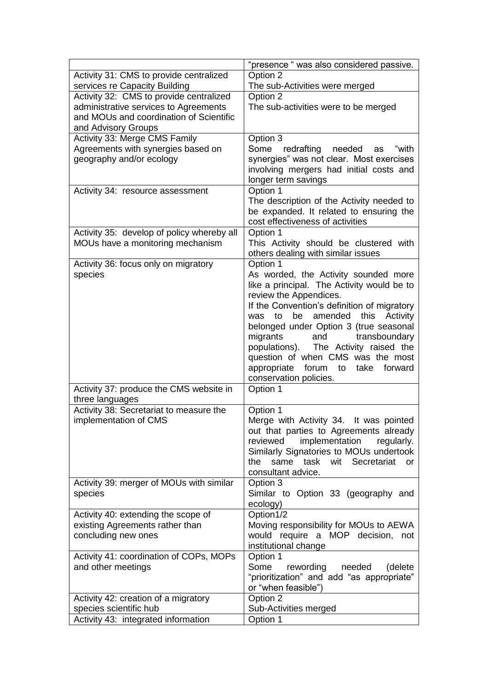|                                                                  | "presence " was also considered passive.                                    |
|------------------------------------------------------------------|-----------------------------------------------------------------------------|
| Activity 31: CMS to provide centralized                          | Option 2                                                                    |
| services re Capacity Building                                    | The sub-Activities were merged                                              |
| Activity 32: CMS to provide centralized                          | Option 2                                                                    |
| administrative services to Agreements                            | The sub-activities were to be merged                                        |
| and MOUs and coordination of Scientific                          |                                                                             |
| and Advisory Groups                                              |                                                                             |
| Activity 33: Merge CMS Family                                    | Option 3                                                                    |
| Agreements with synergies based on                               | Some redrafting<br>needed<br>"with<br>as                                    |
| geography and/or ecology                                         | synergies" was not clear. Most exercises                                    |
|                                                                  | involving mergers had initial costs and                                     |
|                                                                  | longer term savings                                                         |
| Activity 34: resource assessment                                 | Option 1                                                                    |
|                                                                  | The description of the Activity needed to                                   |
|                                                                  | be expanded. It related to ensuring the<br>cost effectiveness of activities |
| Activity 35: develop of policy whereby all                       | Option 1                                                                    |
| MOUs have a monitoring mechanism                                 | This Activity should be clustered with                                      |
|                                                                  | others dealing with similar issues                                          |
| Activity 36: focus only on migratory                             | Option 1                                                                    |
| species                                                          | As worded, the Activity sounded more                                        |
|                                                                  | like a principal. The Activity would be to                                  |
|                                                                  | review the Appendices.                                                      |
|                                                                  | If the Convention's definition of migratory                                 |
|                                                                  | amended<br>to<br>be<br>this<br>Activity<br>was                              |
|                                                                  | belonged under Option 3 (true seasonal                                      |
|                                                                  | migrants<br>and<br>transboundary                                            |
|                                                                  | The Activity raised the<br>populations).                                    |
|                                                                  | question of when CMS was the most                                           |
|                                                                  | appropriate forum to<br>take forward                                        |
|                                                                  | conservation policies.                                                      |
| Activity 37: produce the CMS website in                          | Option 1                                                                    |
| three languages                                                  | Option 1                                                                    |
| Activity 38: Secretariat to measure the<br>implementation of CMS | Merge with Activity 34. It was pointed                                      |
|                                                                  | out that parties to Agreements already                                      |
|                                                                  | reviewed<br>implementation<br>regularly.                                    |
|                                                                  | Similarly Signatories to MOUs undertook                                     |
|                                                                  | same task<br>wit Secretariat<br>the<br><b>or</b>                            |
|                                                                  | consultant advice.                                                          |
| Activity 39: merger of MOUs with similar                         | Option 3                                                                    |
| species                                                          | Similar to Option 33 (geography and                                         |
|                                                                  | ecology)                                                                    |
| Activity 40: extending the scope of                              | Option1/2                                                                   |
| existing Agreements rather than                                  | Moving responsibility for MOUs to AEWA                                      |
| concluding new ones                                              | would require a MOP decision, not                                           |
|                                                                  | institutional change                                                        |
| Activity 41: coordination of COPs, MOPs                          | Option 1                                                                    |
| and other meetings                                               | Some<br>rewording<br>(delete<br>needed                                      |
|                                                                  | "prioritization" and add "as appropriate"                                   |
|                                                                  | or "when feasible")                                                         |
| Activity 42: creation of a migratory                             | Option 2                                                                    |
| species scientific hub<br>Activity 43: integrated information    | Sub-Activities merged                                                       |
|                                                                  | Option 1                                                                    |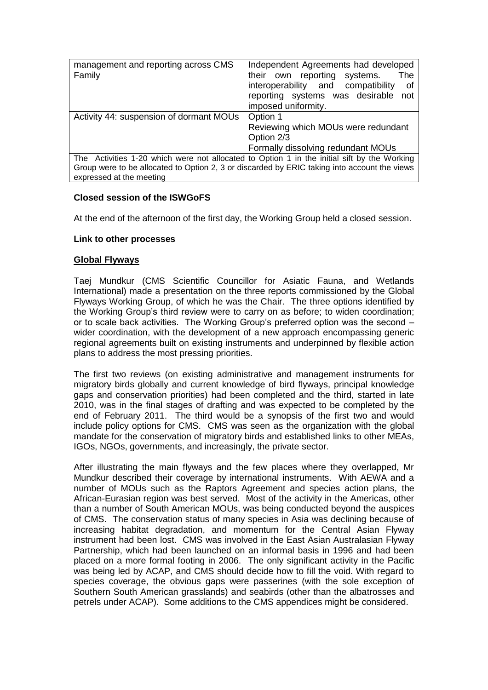| management and reporting across CMS                                                          | Independent Agreements had developed     |
|----------------------------------------------------------------------------------------------|------------------------------------------|
| Family                                                                                       | their own reporting systems.<br>The      |
|                                                                                              | interoperability and compatibility<br>οf |
|                                                                                              | reporting systems was desirable<br>not   |
|                                                                                              | imposed uniformity.                      |
| Activity 44: suspension of dormant MOUs                                                      | Option 1                                 |
|                                                                                              | Reviewing which MOUs were redundant      |
|                                                                                              | Option 2/3                               |
|                                                                                              | Formally dissolving redundant MOUs       |
| The Activities 1-20 which were not allocated to Option 1 in the initial sift by the Working  |                                          |
| Group were to be allocated to Option 2, 3 or discarded by ERIC taking into account the views |                                          |
| expressed at the meeting                                                                     |                                          |

# **Closed session of the ISWGoFS**

At the end of the afternoon of the first day, the Working Group held a closed session.

# **Link to other processes**

# **Global Flyways**

Taej Mundkur (CMS Scientific Councillor for Asiatic Fauna, and Wetlands International) made a presentation on the three reports commissioned by the Global Flyways Working Group, of which he was the Chair. The three options identified by the Working Group's third review were to carry on as before; to widen coordination; or to scale back activities. The Working Group's preferred option was the second – wider coordination, with the development of a new approach encompassing generic regional agreements built on existing instruments and underpinned by flexible action plans to address the most pressing priorities.

The first two reviews (on existing administrative and management instruments for migratory birds globally and current knowledge of bird flyways, principal knowledge gaps and conservation priorities) had been completed and the third, started in late 2010, was in the final stages of drafting and was expected to be completed by the end of February 2011. The third would be a synopsis of the first two and would include policy options for CMS. CMS was seen as the organization with the global mandate for the conservation of migratory birds and established links to other MEAs, IGOs, NGOs, governments, and increasingly, the private sector.

After illustrating the main flyways and the few places where they overlapped, Mr Mundkur described their coverage by international instruments. With AEWA and a number of MOUs such as the Raptors Agreement and species action plans, the African-Eurasian region was best served. Most of the activity in the Americas, other than a number of South American MOUs, was being conducted beyond the auspices of CMS. The conservation status of many species in Asia was declining because of increasing habitat degradation, and momentum for the Central Asian Flyway instrument had been lost. CMS was involved in the East Asian Australasian Flyway Partnership, which had been launched on an informal basis in 1996 and had been placed on a more formal footing in 2006. The only significant activity in the Pacific was being led by ACAP, and CMS should decide how to fill the void. With regard to species coverage, the obvious gaps were passerines (with the sole exception of Southern South American grasslands) and seabirds (other than the albatrosses and petrels under ACAP). Some additions to the CMS appendices might be considered.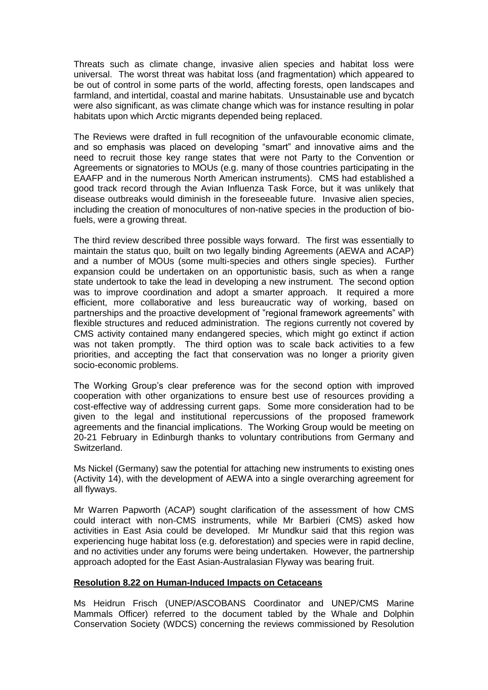Threats such as climate change, invasive alien species and habitat loss were universal. The worst threat was habitat loss (and fragmentation) which appeared to be out of control in some parts of the world, affecting forests, open landscapes and farmland, and intertidal, coastal and marine habitats. Unsustainable use and bycatch were also significant, as was climate change which was for instance resulting in polar habitats upon which Arctic migrants depended being replaced.

The Reviews were drafted in full recognition of the unfavourable economic climate, and so emphasis was placed on developing "smart" and innovative aims and the need to recruit those key range states that were not Party to the Convention or Agreements or signatories to MOUs (e.g. many of those countries participating in the EAAFP and in the numerous North American instruments). CMS had established a good track record through the Avian Influenza Task Force, but it was unlikely that disease outbreaks would diminish in the foreseeable future. Invasive alien species, including the creation of monocultures of non-native species in the production of biofuels, were a growing threat.

The third review described three possible ways forward. The first was essentially to maintain the status quo, built on two legally binding Agreements (AEWA and ACAP) and a number of MOUs (some multi-species and others single species). Further expansion could be undertaken on an opportunistic basis, such as when a range state undertook to take the lead in developing a new instrument. The second option was to improve coordination and adopt a smarter approach. It required a more efficient, more collaborative and less bureaucratic way of working, based on partnerships and the proactive development of "regional framework agreements" with flexible structures and reduced administration. The regions currently not covered by CMS activity contained many endangered species, which might go extinct if action was not taken promptly. The third option was to scale back activities to a few priorities, and accepting the fact that conservation was no longer a priority given socio-economic problems.

The Working Group's clear preference was for the second option with improved cooperation with other organizations to ensure best use of resources providing a cost-effective way of addressing current gaps. Some more consideration had to be given to the legal and institutional repercussions of the proposed framework agreements and the financial implications. The Working Group would be meeting on 20-21 February in Edinburgh thanks to voluntary contributions from Germany and Switzerland.

Ms Nickel (Germany) saw the potential for attaching new instruments to existing ones (Activity 14), with the development of AEWA into a single overarching agreement for all flyways.

Mr Warren Papworth (ACAP) sought clarification of the assessment of how CMS could interact with non-CMS instruments, while Mr Barbieri (CMS) asked how activities in East Asia could be developed. Mr Mundkur said that this region was experiencing huge habitat loss (e.g. deforestation) and species were in rapid decline, and no activities under any forums were being undertaken. However, the partnership approach adopted for the East Asian-Australasian Flyway was bearing fruit.

# **Resolution 8.22 on Human-Induced Impacts on Cetaceans**

Ms Heidrun Frisch (UNEP/ASCOBANS Coordinator and UNEP/CMS Marine Mammals Officer) referred to the document tabled by the Whale and Dolphin Conservation Society (WDCS) concerning the reviews commissioned by Resolution